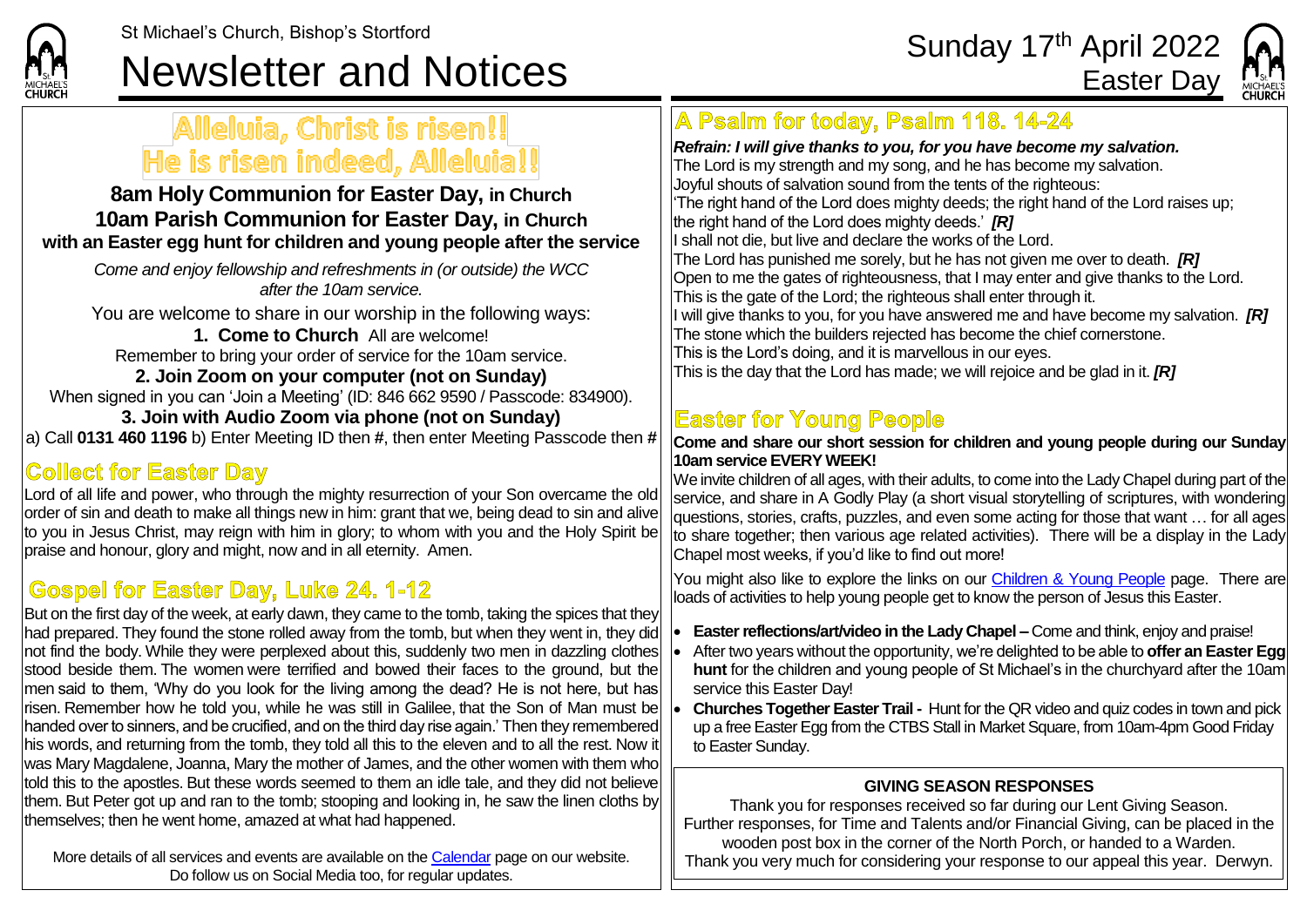



# Alleluia, Christ is risen!! He is risen indeed, Alleluia!!

**8am Holy Communion for Easter Day, in Church 10am Parish Communion for Easter Day, in Church with an Easter egg hunt for children and young people after the service**

*Come and enjoy fellowship and refreshments in (or outside) the WCC after the 10am service.*

You are welcome to share in our worship in the following ways:

**1. Come to Church** All are welcome! Remember to bring your order of service for the 10am service.

**2. Join Zoom on your computer (not on Sunday)** When signed in you can 'Join a Meeting' (ID: 846 662 9590 / Passcode: 834900).

**3. Join with Audio Zoom via phone (not on Sunday)** a) Call **0131 460 1196** b) Enter Meeting ID then **#**, then enter Meeting Passcode then **#**

# **Collect for Easter Day**

Lord of all life and power, who through the mighty resurrection of your Son overcame the old order of sin and death to make all things new in him: grant that we, being dead to sin and alive to you in Jesus Christ, may reign with him in glory; to whom with you and the Holy Spirit be praise and honour, glory and might, now and in all eternity. Amen.

## Gospel for Easter Day, Luke 24. 1-12

But on the first day of the week, at early dawn, they came to the tomb, taking the spices that they had prepared. They found the stone rolled away from the tomb, but when they went in, they did not find the body. While they were perplexed about this, suddenly two men in dazzling clothes stood beside them. The women were terrified and bowed their faces to the ground, but the men said to them, 'Why do you look for the living among the dead? He is not here, but has risen. Remember how he told you, while he was still in Galilee, that the Son of Man must be handed over to sinners, and be crucified, and on the third day rise again.' Then they remembered his words, and returning from the tomb, they told all this to the eleven and to all the rest. Now it was Mary Magdalene, Joanna, Mary the mother of James, and the other women with them who told this to the apostles. But these words seemed to them an idle tale, and they did not believe them. But Peter got up and ran to the tomb; stooping and looking in, he saw the linen cloths by themselves; then he went home, amazed at what had happened.

More details of all services and events are available on the [Calendar](https://saintmichaelweb.org.uk/calendar/month.aspx) page on our website. Do follow us on Social Media too, for regular updates.

#### A Psalm for today, Psalm 118. 14-24

*Refrain: I will give thanks to you, for you have become my salvation.* The Lord is my strength and my song, and he has become my salvation. Joyful shouts of salvation sound from the tents of the righteous: 'The right hand of the Lord does mighty deeds; the right hand of the Lord raises up; the right hand of the Lord does mighty deeds.' *[R]* I shall not die, but live and declare the works of the Lord. The Lord has punished me sorely, but he has not given me over to death. *[R]* Open to me the gates of righteousness, that I may enter and give thanks to the Lord. This is the gate of the Lord; the righteous shall enter through it. I will give thanks to you, for you have answered me and have become my salvation. *[R]* The stone which the builders rejected has become the chief cornerstone. This is the Lord's doing, and it is marvellous in our eyes. This is the day that the Lord has made; we will rejoice and be glad in it. *[R]*

## **Easter for Young People**

#### **Come and share our short session for children and young people during our Sunday 10am service EVERY WEEK!**

We invite children of all ages, with their adults, to come into the Lady Chapel during part of the service, and share in A Godly Play (a short visual storytelling of scriptures, with wondering questions, stories, crafts, puzzles, and even some acting for those that want … for all ages to share together; then various age related activities). There will be a display in the Lady Chapel most weeks, if you'd like to find out more!

You might also like to explore the links on our [Children & Young People](https://saintmichaelweb.org.uk/Groups/310496/Children_and_Young.aspx) page. There are loads of activities to help young people get to know the person of Jesus this Easter.

- **Easter reflections/art/video in the Lady Chapel –** Come and think, enjoy and praise!
- After two years without the opportunity, we're delighted to be able to **offer an Easter Egg hunt** for the children and young people of St Michael's in the churchyard after the 10am service this Easter Day!
- **Churches Together Easter Trail** Hunt for the QR video and quiz codes in town and pick up a free Easter Egg from the CTBS Stall in Market Square, from 10am-4pm Good Friday to Easter Sunday.

#### **GIVING SEASON RESPONSES**

Thank you for responses received so far during our Lent Giving Season. Further responses, for Time and Talents and/or Financial Giving, can be placed in the wooden post box in the corner of the North Porch, or handed to a Warden. Thank you very much for considering your response to our appeal this year. Derwyn.